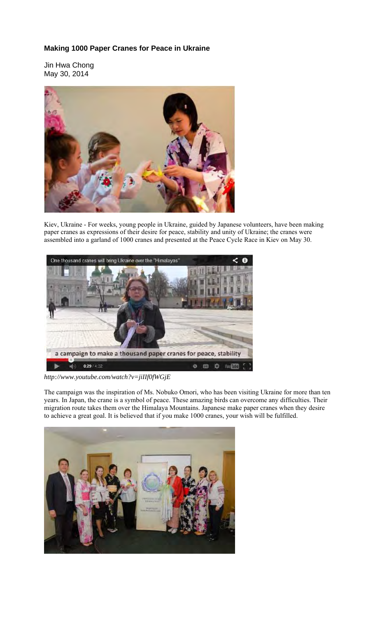## **Making 1000 Paper Cranes for Peace in Ukraine**

Jin Hwa Chong May 30, 2014



Kiev, Ukraine - For weeks, young people in Ukraine, guided by Japanese volunteers, have been making paper cranes as expressions of their desire for peace, stability and unity of Ukraine; the cranes were assembled into a garland of 1000 cranes and presented at the Peace Cycle Race in Kiev on May 30.



*http://www.youtube.com/watch?v=jiIIf0fWGjE* 

The campaign was the inspiration of Ms. Nobuko Omori, who has been visiting Ukraine for more than ten years. In Japan, the crane is a symbol of peace. These amazing birds can overcome any difficulties. Their migration route takes them over the Himalaya Mountains. Japanese make paper cranes when they desire to achieve a great goal. It is believed that if you make 1000 cranes, your wish will be fulfilled.

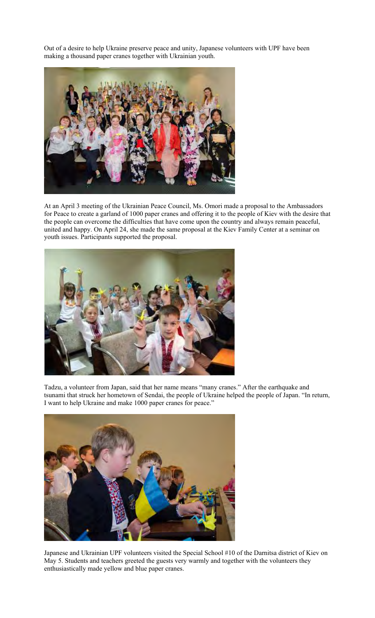Out of a desire to help Ukraine preserve peace and unity, Japanese volunteers with UPF have been making a thousand paper cranes together with Ukrainian youth.



At an April 3 meeting of the Ukrainian Peace Council, Ms. Omori made a proposal to the Ambassadors for Peace to create a garland of 1000 paper cranes and offering it to the people of Kiev with the desire that the people can overcome the difficulties that have come upon the country and always remain peaceful, united and happy. On April 24, she made the same proposal at the Kiev Family Center at a seminar on youth issues. Participants supported the proposal.



Tadzu, a volunteer from Japan, said that her name means "many cranes." After the earthquake and tsunami that struck her hometown of Sendai, the people of Ukraine helped the people of Japan. "In return, I want to help Ukraine and make 1000 paper cranes for peace."



Japanese and Ukrainian UPF volunteers visited the Special School #10 of the Darnitsa district of Kiev on May 5. Students and teachers greeted the guests very warmly and together with the volunteers they enthusiastically made yellow and blue paper cranes.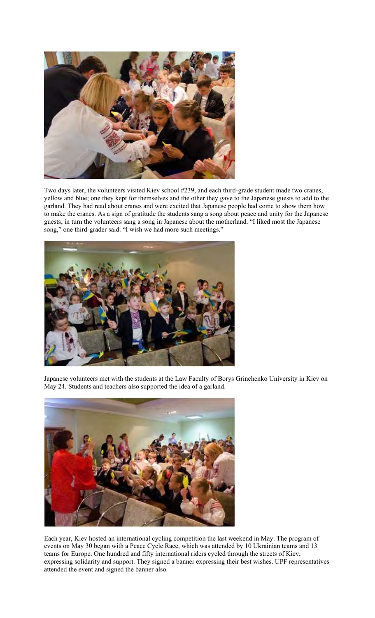

Two days later, the volunteers visited Kiev school #239, and each third-grade student made two cranes, yellow and blue; one they kept for themselves and the other they gave to the Japanese guests to add to the garland. They had read about cranes and were excited that Japanese people had come to show them how to make the cranes. As a sign of gratitude the students sang a song about peace and unity for the Japanese guests; in turn the volunteers sang a song in Japanese about the motherland. "I liked most the Japanese song," one third-grader said. "I wish we had more such meetings."



Japanese volunteers met with the students at the Law Faculty of Borys Grinchenko University in Kiev on May 24. Students and teachers also supported the idea of a garland.



Each year, Kiev hosted an international cycling competition the last weekend in May. The program of events on May 30 began with a Peace Cycle Race, which was attended by 10 Ukrainian teams and 13 teams for Europe. One hundred and fifty international riders cycled through the streets of Kiev, expressing solidarity and support. They signed a banner expressing their best wishes. UPF representatives attended the event and signed the banner also.